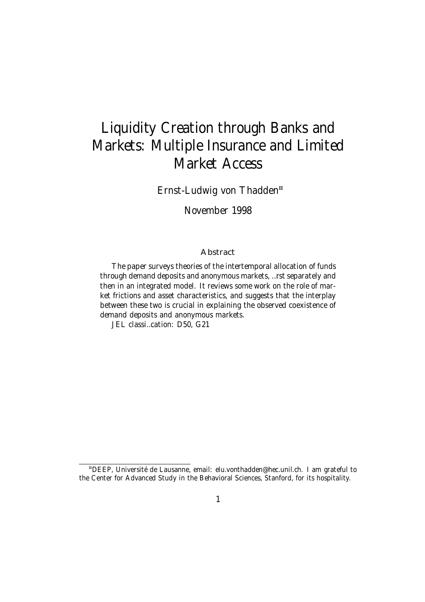# Liquidity Creation through Banks and Markets: Multiple Insurance and Limited Market Access

Ernst-Ludwig von Thadden ¤

November 1998

#### Abstract

The paper surveys theories of the intertemporal allocation of funds through demand deposits and anonymous markets, …rst separately and then in an integrated model. It reviews some work on the role of market frictions and asset characteristics, and suggests that the interplay between these two is crucial in explaining the observed coexistence of demand deposits and anonymous markets.

JEL classi…cation: D50, G21

<sup>¤</sup>DEEP, Université de Lausanne, email: elu.vonthadden@hec.unil.ch. I am grateful to the Center for Advanced Study in the Behavioral Sciences, Stanford, for its hospitality.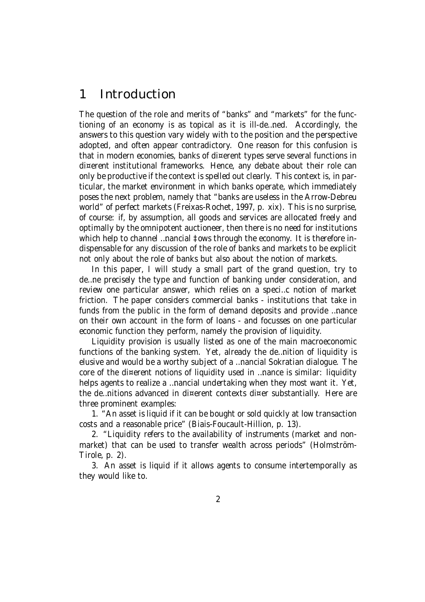# 1 Introduction

The question of the role and merits of "banks" and "markets" for the functioning of an economy is as topical as it is ill-de…ned. Accordingly, the answers to this question vary widely with to the position and the perspective adopted, and often appear contradictory. One reason for this confusion is that in modern economies, banks of di¤erent types serve several functions in di¤erent institutional frameworks. Hence, any debate about their role can only be productive if the context is spelled out clearly. This context is, in particular, the market environment in which banks operate, which immediately poses the next problem, namely that "banks are useless in the Arrow-Debreu world" of perfect markets (Freixas-Rochet, 1997, p. xix). This is no surprise, of course: if, by assumption, all goods and services are allocated freely and optimally by the omnipotent auctioneer, then there is no need for institutions which help to channel ... nancial  $\ddagger$ ows through the economy. It is therefore indispensable for any discussion of the role of banks and markets to be explicit not only about the role of banks but also about the notion of markets.

In this paper, I will study a small part of the grand question, try to de…ne precisely the type and function of banking under consideration, and review one particular answer, which relies on a speci…c notion of market friction. The paper considers commercial banks - institutions that take in funds from the public in the form of demand deposits and provide …nance on their own account in the form of loans - and focusses on one particular economic function they perform, namely the provision of liquidity.

Liquidity provision is usually listed as one of the main macroeconomic functions of the banking system. Yet, already the de…nition of liquidity is elusive and would be a worthy subject of a …nancial Sokratian dialogue. The core of the di¤erent notions of liquidity used in …nance is similar: liquidity helps agents to realize a …nancial undertaking when they most want it. Yet, the de…nitions advanced in di¤erent contexts di¤er substantially. Here are three prominent examples:

1. "An asset is liquid if it can be bought or sold quickly at low transaction costs and a reasonable price" (Biais-Foucault-Hillion, p. 13).

2. "Liquidity refers to the availability of instruments (market and nonmarket) that can be used to transfer wealth across periods" (Holmström-Tirole, p. 2).

3. An asset is liquid if it allows agents to consume intertemporally as they would like to.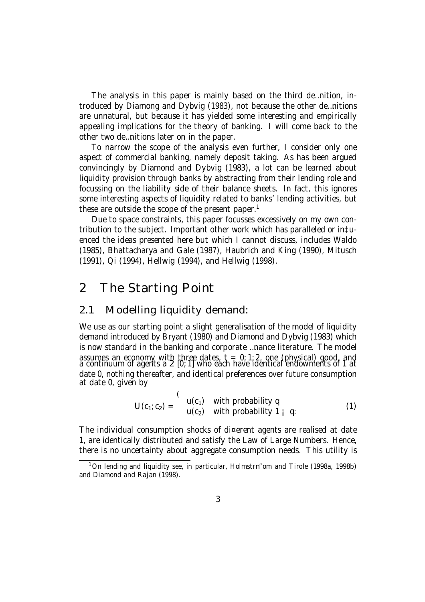The analysis in this paper is mainly based on the third de…nition, introduced by Diamong and Dybvig (1983), not because the other de…nitions are unnatural, but because it has yielded some interesting and empirically appealing implications for the theory of banking. I will come back to the other two de…nitions later on in the paper.

To narrow the scope of the analysis even further, I consider only one aspect of commercial banking, namely deposit taking. As has been argued convincingly by Diamond and Dybvig (1983), a lot can be learned about liquidity provision through banks by abstracting from their lending role and focussing on the liability side of their balance sheets. In fact, this ignores some interesting aspects of liquidity related to banks' lending activities, but these are outside the scope of the present paper. 1

Due to space constraints, this paper focusses excessively on my own contribution to the subject. Important other work which has paralleled or in‡uenced the ideas presented here but which I cannot discuss, includes Waldo (1985), Bhattacharya and Gale (1987), Haubrich and King (1990), Mitusch (1991), Qi (1994), Hellwig (1994), and Hellwig (1998).

### 2 The Starting Point

### 2.1 Modelling liquidity demand:

We use as our starting point a slight generalisation of the model of liquidity demand introduced by Bryant (1980) and Diamond and Dybvig (1983) which is now standard in the banking and corporate …nance literature. The model assumes an economy with three dates,  $t = 0.1, 2$ , one (physical) good, and a continuum of agents a 2 [0; 1] who each have identical endowments of 1 at date 0, nothing thereafter, and identical preferences over future consumption at date 0, given by

$$
U(c_1;c_2) = \begin{cases} u(c_1) & \text{with probability } q \\ u(c_2) & \text{with probability } 1 \text{ i } q \end{cases}
$$
 (1)

The individual consumption shocks of di¤erent agents are realised at date 1, are identically distributed and satisfy the Law of Large Numbers. Hence, there is no uncertainty about aggregate consumption needs. This utility is

<sup>&</sup>lt;sup>1</sup>On lending and liquidity see, in particular, Holmstrn"om and Tirole (1998a, 1998b) and Diamond and Rajan (1998).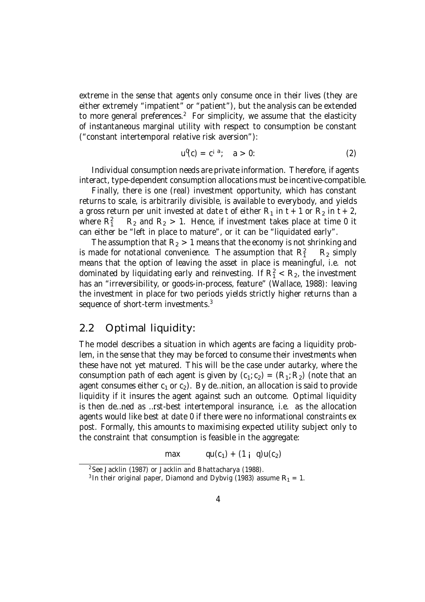extreme in the sense that agents only consume once in their lives (they are either extremely "impatient" or "patient"), but the analysis can be extended to more general preferences.<sup>2</sup> For simplicity, we assume that the elasticity of instantaneous marginal utility with respect to consumption be constant ("constant intertemporal relative risk aversion"):

$$
u^0(c) = c^{i a}; \quad a > 0.
$$
 (2)

Individual consumption needs are private information. Therefore, if agents interact, type-dependent consumption allocations must be incentive-compatible.

Finally, there is one (real) investment opportunity, which has constant returns to scale, is arbitrarily divisible, is available to everybody, and yields a gross return per unit invested at date t of either  $R_1$  in t + 1 or  $R_2$  in t + 2, where  $R_1^2$  $R_2$  and  $R_2 > 1$ . Hence, if investment takes place at time 0 it can either be "left in place to mature", or it can be "liquidated early".

The assumption that  $R_2 > 1$  means that the economy is not shrinking and is made for notational convenience. The assumption that  $R_1^2$  $R_2$  simply means that the option of leaving the asset in place is meaningful, i.e. not dominated by liquidating early and reinvesting. If  $R_1^2 < R_2$ , the investment has an "irreversibility, or goods-in-process, feature" (Wallace, 1988): leaving the investment in place for two periods yields strictly higher returns than a sequence of short-term investments.<sup>3</sup>

### 2.2 Optimal liquidity:

The model describes a situation in which agents are facing a liquidity problem, in the sense that they may be forced to consume their investments when these have not yet matured. This will be the case under autarky, where the consumption path of each agent is given by  $(c_1;c_2) = (R_1; R_2)$  (note that an agent consumes either  $c_1$  or  $c_2$ ). By de...nition, an allocation is said to provide liquidity if it insures the agent against such an outcome. Optimal liquidity is then de…ned as …rst-best intertemporal insurance, i.e. as the allocation agents would like best at date 0 if there were no informational constraints ex post. Formally, this amounts to maximising expected utility subject only to the constraint that consumption is feasible in the aggregate:

max  $qu(c_1) + (1 i q)u(c_2)$ 

<sup>2</sup>See Jacklin (1987) or Jacklin and Bhattacharya (1988).

<sup>&</sup>lt;sup>3</sup> In their original paper, Diamond and Dybvig (1983) assume  $R_1 = 1$ .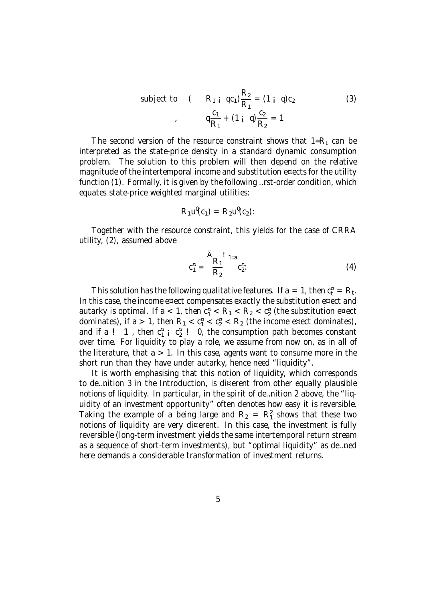subject to 
$$
(R_{1 i} q c_{1}) \frac{R_{2}}{R_{1}} = (1 i q) c_{2}
$$
 (3)  
 $q \frac{c_{1}}{R_{1}} + (1 i q) \frac{c_{2}}{R_{2}} = 1$ 

The second version of the resource constraint shows that  $1=R_t$  can be interpreted as the state-price density in a standard dynamic consumption problem. The solution to this problem will then depend on the relative magnitude of the intertemporal income and substitution e¤ects for the utility function (1). Formally, it is given by the following …rst-order condition, which equates state-price weighted marginal utilities:

$$
R_1\mathsf{u}^{\mathsf{I}}(\mathsf{C}_1)=R_2\mathsf{u}^{\mathsf{I}}(\mathsf{C}_2):
$$

Together with the resource constraint, this yields for the case of CRRA utility, (2), assumed above

$$
c_1^{\pi} = \frac{A_{R_1}!}{R_2} {}^{1_{=a}} c_2^{\pi}.
$$
 (4)

This solution has the following qualitative features. If  $a = 1$ , then  $c_t^{\alpha} = R_t$ . In this case, the income e¤ect compensates exactly the substitution e¤ect and autarky is optimal. If a  $< 1$ , then  $c_1^2 < R_1 < R_2 < c_2^2$  (the substitution e¤ect dominates), if a > 1, then  $R_1 < c_1^{\alpha} < c_2^{\alpha} < R_2$  (the income e¤ect dominates), and if a ! 1, then  $c_1^*$  i  $c_2^*$ ! 0, the consumption path becomes constant over time. For liquidity to play a role, we assume from now on, as in all of the literature, that  $a > 1$ . In this case, agents want to consume more in the short run than they have under autarky, hence need "liquidity".

It is worth emphasising that this notion of liquidity, which corresponds to de…nition 3 in the Introduction, is di¤erent from other equally plausible notions of liquidity. In particular, in the spirit of de…nition 2 above, the "liquidity of an investment opportunity" often denotes how easy it is reversible. Taking the example of a being large and  $R_2 = R_1^2$  shows that these two notions of liquidity are very di¤erent. In this case, the investment is fully reversible (long-term investment yields the same intertemporal return stream as a sequence of short-term investments), but "optimal liquidity" as de…ned here demands a considerable transformation of investment returns.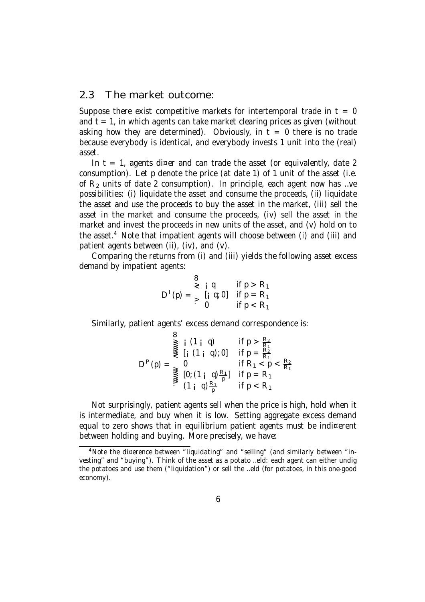### 2.3 The market outcome:

Suppose there exist competitive markets for intertemporal trade in  $t = 0$ and  $t = 1$ , in which agents can take market clearing prices as given (without asking how they are determined). Obviously, in  $t = 0$  there is no trade because everybody is identical, and everybody invests 1 unit into the (real) asset.

In  $t = 1$ , agents di¤er and can trade the asset (or equivalently, date 2 consumption). Let p denote the price (at date 1) of 1 unit of the asset (i.e. of  $R<sub>2</sub>$  units of date 2 consumption). In principle, each agent now has ... ve possibilities: (i) liquidate the asset and consume the proceeds, (ii) liquidate the asset and use the proceeds to buy the asset in the market, (iii) sell the asset in the market and consume the proceeds, (iv) sell the asset in the market and invest the proceeds in new units of the asset, and (v) hold on to the asset. <sup>4</sup> Note that impatient agents will choose between (i) and (iii) and patient agents between (ii), (iv), and (v).

Comparing the returns from (i) and (iii) yields the following asset excess demand by impatient agents:

$$
D^{1}(p) = \begin{cases} 8 & \text{if } p > R_{1} \\ \geq 1 & \text{if } p = R_{1} \\ > 0 & \text{if } p < R_{1} \end{cases}
$$

Similarly, patient agents' excess demand correspondence is:

$$
D^{P}(p) = \sum_{\substack{p=1 \ p \text{ odd}}}^{\text{max}} \frac{1}{p} \left( \begin{array}{cc} 1 & 1 & q \end{array} \right) \quad \text{if } p > \frac{R_2}{R_1}
$$
\n
$$
D^{P}(p) = \sum_{\substack{p=1 \ p \text{ odd}}}^{\text{max}} \frac{1}{p} \left( \begin{array}{cc} 1 & q & \frac{R_1}{R_1} \\ 1 & q & \frac{R_1}{p} \end{array} \right) \quad \text{if } p = R_1
$$
\n
$$
\sum_{p=1}^{\text{max}} \frac{1}{p} \left( \begin{array}{cc} 1 & q & \frac{R_1}{p} \\ 1 & q & \frac{R_1}{p} \end{array} \right) \quad \text{if } p < R_1
$$

Not surprisingly, patient agents sell when the price is high, hold when it is intermediate, and buy when it is low. Setting aggregate excess demand equal to zero shows that in equilibrium patient agents must be indi¤erent between holding and buying. More precisely, we have:

<sup>4</sup>Note the di¤erence between "liquidating" and "selling" (and similarly between "investing" and "buying"). Think of the asset as a potato …eld: each agent can either undig the potatoes and use them ("liquidation") or sell the …eld (for potatoes, in this one-good economy).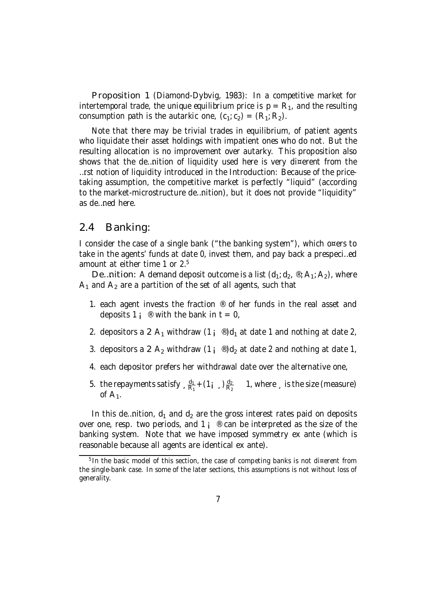Proposition 1 (Diamond-Dybvig, 1983): In a competitive market for intertemporal trade, the unique equilibrium price is  $p = R_1$ , and the resulting consumption path is the autarkic one,  $(c_1, c_2) = (R_1, R_2)$ .

Note that there may be trivial trades in equilibrium, of patient agents who liquidate their asset holdings with impatient ones who do not. But the resulting allocation is no improvement over autarky. This proposition also shows that the de...nition of liquidity used here is very di¤erent from the …rst notion of liquidity introduced in the Introduction: Because of the pricetaking assumption, the competitive market is perfectly "liquid" (according to the market-microstructure de…nition), but it does not provide "liquidity" as de…ned here.

#### 2.4 Banking:

I consider the case of a single bank ("the banking system"), which o¤ers to take in the agents' funds at date 0, invest them, and pay back a prespeci…ed amount at either time 1 or 2.<sup>5</sup>

De...nition: A demand deposit outcome is a list  $(d_1; d_2, \mathcal{R}_1; A_2)$ , where  $A_1$  and  $A_2$  are a partition of the set of all agents, such that

- 1. each agent invests the fraction  $\mathcal{R}$  of her funds in the real asset and deposits 1;  $\infty$  with the bank in t = 0,
- 2. depositors a 2  $A_1$  withdraw  $(1 \, \mathrm{i} \, \mathrm{e}^0)$ d<sub>1</sub> at date 1 and nothing at date 2,
- 3. depositors a 2  $A_2$  withdraw  $(1 \, \mathrm{i} \, \mathrm{e}^0)d_2$  at date 2 and nothing at date 1,
- 4. each depositor prefers her withdrawal date over the alternative one,
- 5. the repayments satisfy  $\frac{d_1}{B_1}$  $\frac{d_1}{R_1} + (1_{i_{s}}) \frac{d_2}{R_2}$  $\frac{d_2}{R_2}$  1, where  $\frac{1}{2}$  is the size (measure) of  $A_1$ .

In this de...nition,  $d_1$  and  $d_2$  are the gross interest rates paid on deposits over one, resp. two periods, and 1  $\mu$  ® can be interpreted as the size of the banking system. Note that we have imposed symmetry ex ante (which is reasonable because all agents are identical ex ante).

<sup>&</sup>lt;sup>5</sup> In the basic model of this section, the case of competing banks is not di¤erent from the single-bank case. In some of the later sections, this assumptions is not without loss of generality.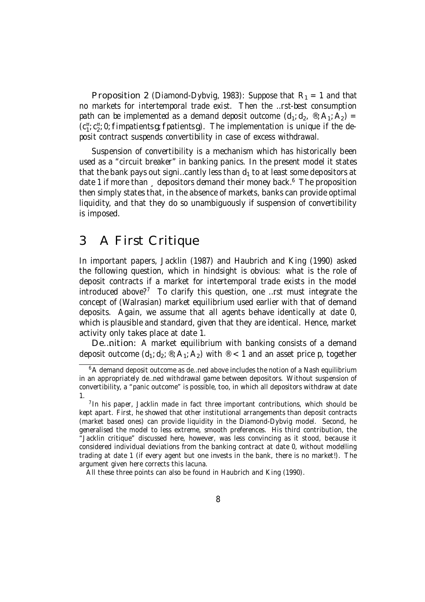Proposition 2 (Diamond-Dybvig, 1983): Suppose that  $R_1 = 1$  and that no markets for intertemporal trade exist. Then the …rst-best consumption path can be implemented as a demand deposit outcome  $(d_1, d_2, \mathcal{R}_1; A_2) =$  $(c_1^{\pi}, c_2^{\pi}, 0;$  fimpatientsg; fpatientsg). The implementation is unique if the deposit contract suspends convertibility in case of excess withdrawal.

Suspension of convertibility is a mechanism which has historically been used as a "circuit breaker" in banking panics. In the present model it states that the bank pays out signi...cantly less than  $d_1$  to at least some depositors at date 1 if more than, depositors demand their money back.<sup>6</sup> The proposition then simply states that, in the absence of markets, banks can provide optimal liquidity, and that they do so unambiguously if suspension of convertibility is imposed.

# 3 A First Critique

In important papers, Jacklin (1987) and Haubrich and King (1990) asked the following question, which in hindsight is obvious: what is the role of deposit contracts if a market for intertemporal trade exists in the model introduced above? <sup>7</sup> To clarify this question, one …rst must integrate the concept of (Walrasian) market equilibrium used earlier with that of demand deposits. Again, we assume that all agents behave identically at date 0, which is plausible and standard, given that they are identical. Hence, market activity only takes place at date 1.

De…nition: A market equilibrium with banking consists of a demand deposit outcome  $(d_1; d_2; \mathcal{B}; A_1; A_2)$  with  $\mathcal{B} < 1$  and an asset price p, together

All these three points can also be found in Haubrich and King (1990).

<sup>&</sup>lt;sup>6</sup>A demand deposit outcome as de...ned above includes the notion of a Nash equilibrium in an appropriately de…ned withdrawal game between depositors. Without suspension of convertibility, a "panic outcome" is possible, too, in which all depositors withdraw at date 1.

<sup>&</sup>lt;sup>7</sup> In his paper, Jacklin made in fact three important contributions, which should be kept apart. First, he showed that other institutional arrangements than deposit contracts (market based ones) can provide liquidity in the Diamond-Dybvig model. Second, he generalised the model to less extreme, smooth preferences. His third contribution, the "Jacklin critique" discussed here, however, was less convincing as it stood, because it considered individual deviations from the banking contract at date 0, without modelling trading at date 1 (if every agent but one invests in the bank, there is no market!). The argument given here corrects this lacuna.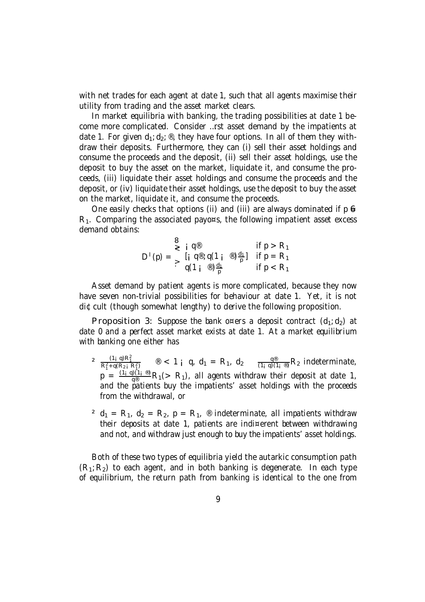with net trades for each agent at date 1, such that all agents maximise their utility from trading and the asset market clears.

In market equilibria with banking, the trading possibilities at date 1 become more complicated. Consider …rst asset demand by the impatients at date 1. For given  $d_1$ ;  $d_2$ ; ®, they have four options. In all of them they withdraw their deposits. Furthermore, they can (i) sell their asset holdings and consume the proceeds and the deposit, (ii) sell their asset holdings, use the deposit to buy the asset on the market, liquidate it, and consume the proceeds, (iii) liquidate their asset holdings and consume the proceeds and the deposit, or (iv) liquidate their asset holdings, use the deposit to buy the asset on the market, liquidate it, and consume the proceeds.

One easily checks that options (ii) and (iii) are always dominated if  $p \leftrightarrow p$  $R_1$ . Comparing the associated payo $\alpha s$ , the following impatient asset excess demand obtains:

$$
D^{1}(p) = \begin{cases} 8 & \text{if } p > R_1 \\ \geq \left[ \begin{array}{cc} q^{\circledast} & \text{if } p > R_1 \\ \left[ \begin{array}{cc} q^{\circledast} & q(1_{i} \end{array} \right] & \frac{d_1}{p} \end{array} \right] & \text{if } p = R_1 \\ q(1_{i} \otimes) \frac{d_1}{p} & \text{if } p < R_1 \end{cases}
$$

Asset demand by patient agents is more complicated, because they now have seven non-trivial possibilities for behaviour at date 1. Yet, it is not di¢cult (though somewhat lengthy) to derive the following proposition.

**Proposition 3:** Suppose the bank o¤ers a deposit contract  $(d_1; d_2)$  at date 0 and a perfect asset market exists at date 1. At a market equilibrium with banking one either has

- $\overline{\phantom{a}}$  $\frac{(1_i \ q)R_1^2}{R_1^2+q(R_{2i} R_1^2)}$   $\otimes$  < 1 i q, d<sub>1</sub> = R<sub>1</sub>, d<sub>2</sub>  $\frac{q^{\circledast}}{(1_i \ q)(1_i \ \circledast)}R_2$  indeterminate,  $\rm p ~ = ~ \frac{(1+q)(1+q)}{q^{\circledast}} R_1(>~R_1)$ , all agents withdraw their deposit at date 1, and the patients buy the impatients' asset holdings with the proceeds from the withdrawal, or
- <sup>2</sup> d<sub>1</sub> = R<sub>1</sub>, d<sub>2</sub> = R<sub>2</sub>, p = R<sub>1</sub>, ® indeterminate, all impatients withdraw their deposits at date 1, patients are indi¤erent between withdrawing and not, and withdraw just enough to buy the impatients' asset holdings.

Both of these two types of equilibria yield the autarkic consumption path  $(R_1; R_2)$  to each agent, and in both banking is degenerate. In each type of equilibrium, the return path from banking is identical to the one from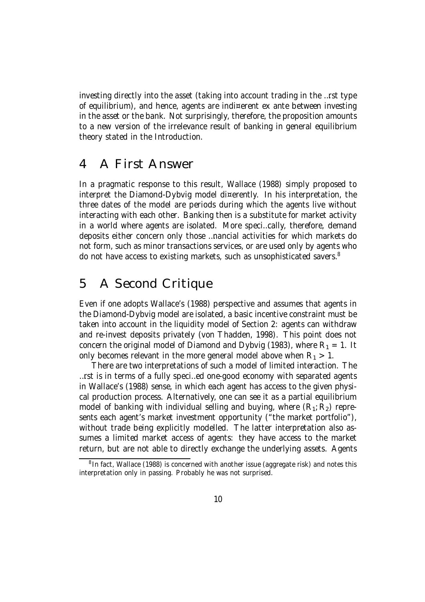investing directly into the asset (taking into account trading in the …rst type of equilibrium), and hence, agents are indi¤erent ex ante between investing in the asset or the bank. Not surprisingly, therefore, the proposition amounts to a new version of the irrelevance result of banking in general equilibrium theory stated in the Introduction.

## 4 A First Answer

In a pragmatic response to this result, Wallace (1988) simply proposed to interpret the Diamond-Dybvig model di¤erently. In his interpretation, the three dates of the model are periods during which the agents live without interacting with each other. Banking then is a substitute for market activity in a world where agents are isolated. More speci…cally, therefore, demand deposits either concern only those …nancial activities for which markets do not form, such as minor transactions services, or are used only by agents who do not have access to existing markets, such as unsophisticated savers.<sup>8</sup>

# 5 A Second Critique

Even if one adopts Wallace's (1988) perspective and assumes that agents in the Diamond-Dybvig model are isolated, a basic incentive constraint must be taken into account in the liquidity model of Section 2: agents can withdraw and re-invest deposits privately (von Thadden, 1998). This point does not concern the original model of Diamond and Dybvig (1983), where  $R_1 = 1$ . It only becomes relevant in the more general model above when  $R_1 > 1$ .

There are two interpretations of such a model of limited interaction. The …rst is in terms of a fully speci…ed one-good economy with separated agents in Wallace's (1988) sense, in which each agent has access to the given physical production process. Alternatively, one can see it as a partial equilibrium model of banking with individual selling and buying, where  $(R_1; R_2)$  represents each agent's market investment opportunity ("the market portfolio"), without trade being explicitly modelled. The latter interpretation also assumes a limited market access of agents: they have access to the market return, but are not able to directly exchange the underlying assets. Agents

<sup>&</sup>lt;sup>8</sup> In fact, Wallace (1988) is concerned with another issue (aggregate risk) and notes this interpretation only in passing. Probably he was not surprised.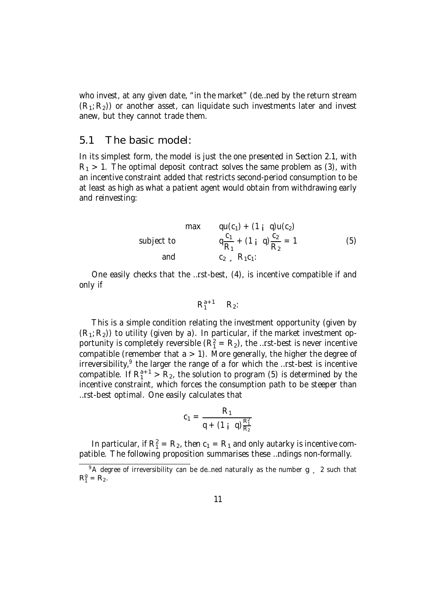who invest, at any given date, "in the market" (de…ned by the return stream  $(R_1; R_2)$ ) or another asset, can liquidate such investments later and invest anew, but they cannot trade them.

#### 5.1 The basic model:

In its simplest form, the model is just the one presented in Section 2.1, with  $R_1 > 1$ . The optimal deposit contract solves the same problem as (3), with an incentive constraint added that restricts second-period consumption to be at least as high as what a patient agent would obtain from withdrawing early and reinvesting:

max 
$$
qu(c_1) + (1 \text{ i } q)u(c_2)
$$
  
\nsubject to  
\n
$$
q\frac{c_1}{R_1} + (1 \text{ i } q)\frac{c_2}{R_2} = 1
$$
\nand  
\n
$$
c_2 = R_1c_1
$$
\n(5)

One easily checks that the …rst-best, (4), is incentive compatible if and only if

$$
R_1^{a+1} \quad R_2
$$

This is a simple condition relating the investment opportunity (given by  $(R_1; R_2)$ ) to utility (given by a). In particular, if the market investment opportunity is completely reversible  $(R_1^2 = R_2)$ , the …rst-best is never incentive compatible (remember that  $a > 1$ ). More generally, the higher the degree of irreversibility,<sup>9</sup> the larger the range of a for which the ...rst-best is incentive compatible. If  $R_1^{a+1} > R_2$ , the solution to program (5) is determined by the incentive constraint, which forces the consumption path to be steeper than …rst-best optimal. One easily calculates that

$$
c_1 = \frac{R_1}{q + (1 \, \mathsf{i} \, \mathsf{q}) \frac{R_1^2}{R_2}}
$$

In particular, if  $R_1^2 = R_2$ , then  $c_1 = R_1$  and only autarky is incentive compatible. The following proposition summarises these …ndings non-formally.

 $9A$  degree of irreversibility can be de... ned naturally as the number g  $\frac{2}{3}$  2 such that  $R_1^g = R_2.$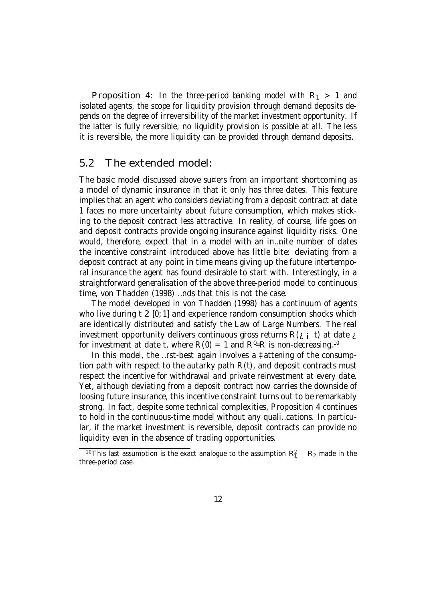Proposition 4: In the three-period banking model with  $R_1 > 1$  and isolated agents, the scope for liquidity provision through demand deposits depends on the degree of irreversibility of the market investment opportunity. If the latter is fully reversible, no liquidity provision is possible at all. The less it is reversible, the more liquidity can be provided through demand deposits.

#### 5.2 The extended model:

The basic model discussed above su¤ers from an important shortcoming as a model of dynamic insurance in that it only has three dates. This feature implies that an agent who considers deviating from a deposit contract at date 1 faces no more uncertainty about future consumption, which makes sticking to the deposit contract less attractive. In reality, of course, life goes on and deposit contracts provide ongoing insurance against liquidity risks. One would, therefore, expect that in a model with an in…nite number of dates the incentive constraint introduced above has little bite: deviating from a deposit contract at any point in time means giving up the future intertemporal insurance the agent has found desirable to start with. Interestingly, in a straightforward generalisation of the above three-period model to continuous time, von Thadden (1998) …nds that this is not the case.

The model developed in von Thadden (1998) has a continuum of agents who live during t 2 [0; 1] and experience random consumption shocks which are identically distributed and satisfy the Law of Large Numbers. The real investment opportunity delivers continuous gross returns  $R(i \mid t)$  at date  $i$ for investment at date t, where R(0) = 1 and R<sup>0</sup>=R is non-decreasing.<sup>10</sup>

In this model, the …rst-best again involves a ‡attening of the consumption path with respect to the autarky path R(t), and deposit contracts must respect the incentive for withdrawal and private reinvestment at every date. Yet, although deviating from a deposit contract now carries the downside of loosing future insurance, this incentive constraint turns out to be remarkably strong. In fact, despite some technical complexities, Proposition 4 continues to hold in the continuous-time model without any quali…cations. In particular, if the market investment is reversible, deposit contracts can provide no liquidity even in the absence of trading opportunities.

<sup>&</sup>lt;sup>10</sup>This last assumption is the exact analogue to the assumption  $R_1^2$  $R<sub>2</sub>$  made in the three-period case.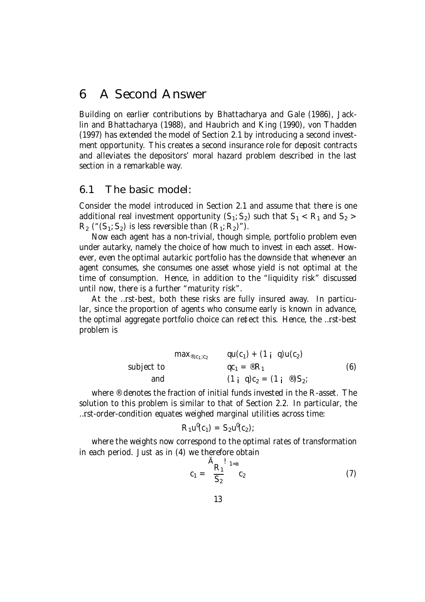## 6 A Second Answer

Building on earlier contributions by Bhattacharya and Gale (1986), Jacklin and Bhattacharya (1988), and Haubrich and King (1990), von Thadden (1997) has extended the model of Section 2.1 by introducing a second investment opportunity. This creates a second insurance role for deposit contracts and alleviates the depositors' moral hazard problem described in the last section in a remarkable way.

### 6.1 The basic model:

Consider the model introduced in Section 2.1 and assume that there is one additional real investment opportunity  $(S_1; S_2)$  such that  $S_1 < R_1$  and  $S_2 >$  $R_2$  (" $(S_1; S_2)$  is less reversible than  $(R_1; R_2)$ ").

Now each agent has a non-trivial, though simple, portfolio problem even under autarky, namely the choice of how much to invest in each asset. However, even the optimal autarkic portfolio has the downside that whenever an agent consumes, she consumes one asset whose yield is not optimal at the time of consumption. Hence, in addition to the "liquidity risk" discussed until now, there is a further "maturity risk".

At the …rst-best, both these risks are fully insured away. In particular, since the proportion of agents who consume early is known in advance, the optimal aggregate portfolio choice can re‡ect this. Hence, the …rst-best problem is

$$
\begin{array}{lll}\n\text{max}_{\circlearrowright, c_1; c_2} & \text{qu}(c_1) + (1 \, \, \text{i} \, \, \text{q})\text{u}(c_2) \\
\text{subject to} & \text{qc}_1 = \circledast \text{R}_1 & \text{(6)} \\
\text{and} & \text{(1 \, \, \, q)}c_2 = (1 \, \, \text{i} \, \, \circledast)S_2\n\end{array}
$$

where <sup>®</sup> denotes the fraction of initial funds invested in the R-asset. The solution to this problem is similar to that of Section 2.2. In particular, the …rst-order-condition equates weighed marginal utilities across time:

$$
R_1 u^0(c_1) = S_2 u^0(c_2);
$$

where the weights now correspond to the optimal rates of transformation in each period. Just as in (4) we therefore obtain

$$
c_1 = \frac{\tilde{A}_{R_1}!}{S_2} \, {}^{1_{=a}}c_2 \tag{7}
$$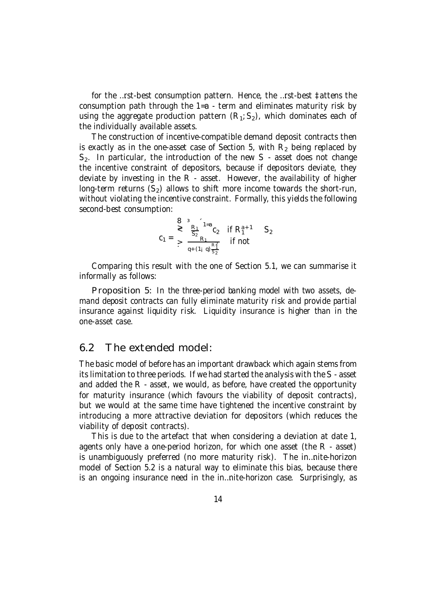for the …rst-best consumption pattern. Hence, the …rst-best ‡attens the consumption path through the 1=a - term and eliminates maturity risk by using the aggregate production pattern  $(R_1; S_2)$ , which dominates each of the individually available assets.

The construction of incentive-compatible demand deposit contracts then is exactly as in the one-asset case of Section 5, with  $R<sub>2</sub>$  being replaced by  $S<sub>2</sub>$ . In particular, the introduction of the new S - asset does not change the incentive constraint of depositors, because if depositors deviate, they deviate by investing in the R - asset. However, the availability of higher long-term returns  $(S_2)$  allows to shift more income towards the short-run, without violating the incentive constraint. Formally, this yields the following second-best consumption:

$$
c_1 = \sum_{\geq 0}^{3} \frac{R_1}{S_2} \Big|_{1=a}^{1=a} c_2 \quad \text{if } R_1^{a+1} \quad S_2
$$
  

$$
c_1 = \sum_{q+(1_1,q)} \frac{R_1^2}{S_2} \quad \text{if not}
$$

Comparing this result with the one of Section 5.1, we can summarise it informally as follows:

Proposition 5: In the three-period banking model with two assets, demand deposit contracts can fully eliminate maturity risk and provide partial insurance against liquidity risk. Liquidity insurance is higher than in the one-asset case.

#### 6.2 The extended model:

The basic model of before has an important drawback which again stems from its limitation to three periods. If we had started the analysis with the S - asset and added the R - asset, we would, as before, have created the opportunity for maturity insurance (which favours the viability of deposit contracts), but we would at the same time have tightened the incentive constraint by introducing a more attractive deviation for depositors (which reduces the viability of deposit contracts).

This is due to the artefact that when considering a deviation at date 1, agents only have a one-period horizon, for which one asset (the R - asset) is unambiguously preferred (no more maturity risk). The in…nite-horizon model of Section 5.2 is a natural way to eliminate this bias, because there is an ongoing insurance need in the in…nite-horizon case. Surprisingly, as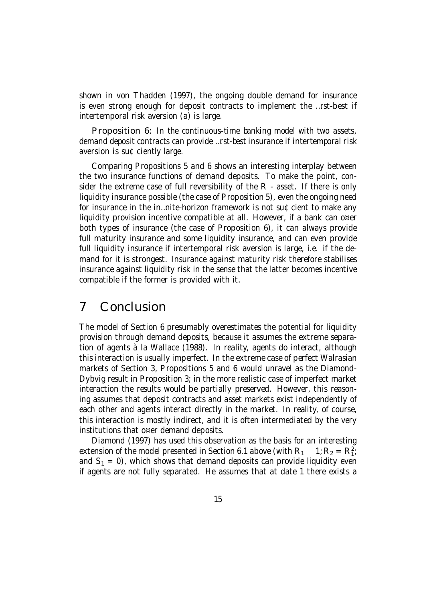shown in von Thadden (1997), the ongoing double demand for insurance is even strong enough for deposit contracts to implement the …rst-best if intertemporal risk aversion (a) is large.

Proposition 6: In the continuous-time banking model with two assets, demand deposit contracts can provide …rst-best insurance if intertemporal risk aversion is su¢ciently large.

Comparing Propositions 5 and 6 shows an interesting interplay between the two insurance functions of demand deposits. To make the point, consider the extreme case of full reversibility of the R - asset. If there is only liquidity insurance possible (the case of Proposition 5), even the ongoing need for insurance in the in…nite-horizon framework is not su¢cient to make any liquidity provision incentive compatible at all. However, if a bank can o¤er both types of insurance (the case of Proposition 6), it can always provide full maturity insurance and some liquidity insurance, and can even provide full liquidity insurance if intertemporal risk aversion is large, i.e. if the demand for it is strongest. Insurance against maturity risk therefore stabilises insurance against liquidity risk in the sense that the latter becomes incentive compatible if the former is provided with it.

### 7 Conclusion

The model of Section 6 presumably overestimates the potential for liquidity provision through demand deposits, because it assumes the extreme separation of agents à la Wallace (1988). In reality, agents do interact, although this interaction is usually imperfect. In the extreme case of perfect Walrasian markets of Section 3, Propositions 5 and 6 would unravel as the Diamond-Dybvig result in Proposition 3; in the more realistic case of imperfect market interaction the results would be partially preserved. However, this reasoning assumes that deposit contracts and asset markets exist independently of each other and agents interact directly in the market. In reality, of course, this interaction is mostly indirect, and it is often intermediated by the very institutions that o¤er demand deposits.

Diamond (1997) has used this observation as the basis for an interesting extension of the model presented in Section 6.1 above (with  $R_1$ ) 2.<br>1, and  $S_1 = 0$ ), which shows that demand deposits can provide liquidity even if agents are not fully separated. He assumes that at date 1 there exists a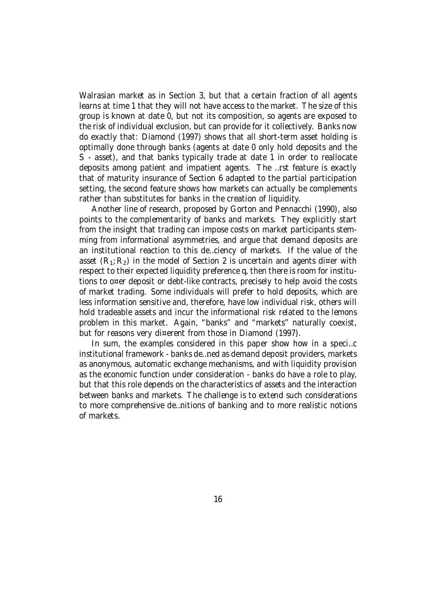Walrasian market as in Section 3, but that a certain fraction of all agents learns at time 1 that they will not have access to the market. The size of this group is known at date 0, but not its composition, so agents are exposed to the risk of individual exclusion, but can provide for it collectively. Banks now do exactly that: Diamond (1997) shows that all short-term asset holding is optimally done through banks (agents at date 0 only hold deposits and the S - asset), and that banks typically trade at date 1 in order to reallocate deposits among patient and impatient agents. The …rst feature is exactly that of maturity insurance of Section 6 adapted to the partial participation setting, the second feature shows how markets can actually be complements rather than substitutes for banks in the creation of liquidity.

Another line of research, proposed by Gorton and Pennacchi (1990), also points to the complementarity of banks and markets. They explicitly start from the insight that trading can impose costs on market participants stemming from informational asymmetries, and argue that demand deposits are an institutional reaction to this de…ciency of markets. If the value of the asset  $(R_1; R_2)$  in the model of Section 2 is uncertain and agents di¤er with respect to their expected liquidity preference q, then there is room for institutions to o¤er deposit or debt-like contracts, precisely to help avoid the costs of market trading. Some individuals will prefer to hold deposits, which are less information sensitive and, therefore, have low individual risk, others will hold tradeable assets and incur the informational risk related to the lemons problem in this market. Again, "banks" and "markets" naturally coexist, but for reasons very di¤erent from those in Diamond (1997).

In sum, the examples considered in this paper show how in a speci…c institutional framework - banks de…ned as demand deposit providers, markets as anonymous, automatic exchange mechanisms, and with liquidity provision as the economic function under consideration - banks do have a role to play, but that this role depends on the characteristics of assets and the interaction between banks and markets. The challenge is to extend such considerations to more comprehensive de…nitions of banking and to more realistic notions of markets.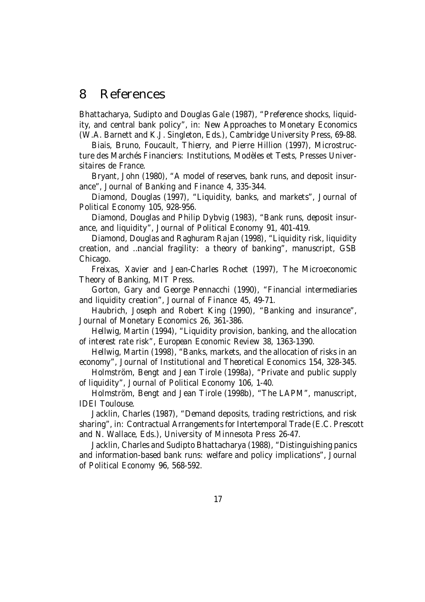### 8 References

Bhattacharya, Sudipto and Douglas Gale (1987), "Preference shocks, liquidity, and central bank policy", in: New Approaches to Monetary Economics (W.A. Barnett and K.J. Singleton, Eds.), Cambridge University Press, 69-88.

Biais, Bruno, Foucault, Thierry, and Pierre Hillion (1997), Microstructure des Marchés Financiers: Institutions, Modèles et Tests, Presses Universitaires de France.

Bryant, John (1980), "A model of reserves, bank runs, and deposit insurance", Journal of Banking and Finance 4, 335-344.

Diamond, Douglas (1997), "Liquidity, banks, and markets", Journal of Political Economy 105, 928-956.

Diamond, Douglas and Philip Dybvig (1983), "Bank runs, deposit insurance, and liquidity", Journal of Political Economy 91, 401-419.

Diamond, Douglas and Raghuram Rajan (1998), "Liquidity risk, liquidity creation, and …nancial fragility: a theory of banking", manuscript, GSB Chicago.

Freixas, Xavier and Jean-Charles Rochet (1997), The Microeconomic Theory of Banking, MIT Press.

Gorton, Gary and George Pennacchi (1990), "Financial intermediaries and liquidity creation", Journal of Finance 45, 49-71.

Haubrich, Joseph and Robert King (1990), "Banking and insurance", Journal of Monetary Economics 26, 361-386.

Hellwig, Martin (1994), "Liquidity provision, banking, and the allocation of interest rate risk", European Economic Review 38, 1363-1390.

Hellwig, Martin (1998), "Banks, markets, and the allocation of risks in an economy", Journal of Institutional and Theoretical Economics 154, 328-345.

Holmström, Bengt and Jean Tirole (1998a), "Private and public supply of liquidity", Journal of Political Economy 106, 1-40.

Holmström, Bengt and Jean Tirole (1998b), "The LAPM", manuscript, IDEI Toulouse.

Jacklin, Charles (1987), "Demand deposits, trading restrictions, and risk sharing", in: Contractual Arrangements for Intertemporal Trade (E.C. Prescott and N. Wallace, Eds.), University of Minnesota Press 26-47.

Jacklin, Charles and Sudipto Bhattacharya (1988), "Distinguishing panics and information-based bank runs: welfare and policy implications", Journal of Political Economy 96, 568-592.